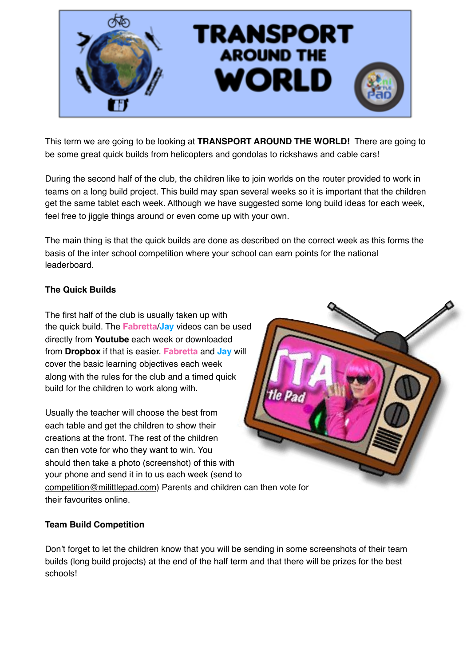

This term we are going to be looking at **TRANSPORT AROUND THE WORLD!** There are going to be some great quick builds from helicopters and gondolas to rickshaws and cable cars!

During the second half of the club, the children like to join worlds on the router provided to work in teams on a long build project. This build may span several weeks so it is important that the children get the same tablet each week. Although we have suggested some long build ideas for each week, feel free to jiggle things around or even come up with your own.

The main thing is that the quick builds are done as described on the correct week as this forms the basis of the inter school competition where your school can earn points for the national leaderboard.

### **The Quick Builds**

The first half of the club is usually taken up with the quick build. The **Fabretta**/**Jay** videos can be used directly from **Youtube** each week or downloaded from **Dropbox** if that is easier. **Fabretta** and **Jay** will cover the basic learning objectives each week along with the rules for the club and a timed quick build for the children to work along with.

Usually the teacher will choose the best from each table and get the children to show their creations at the front. The rest of the children can then vote for who they want to win. You should then take a photo (screenshot) of this with your phone and send it in to us each week (send to [competition@milittlepad.com](mailto:competition@milittlepad.com)) Parents and children can then vote for their favourites online.

### **Team Build Competition**

Don't forget to let the children know that you will be sending in some screenshots of their team builds (long build projects) at the end of the half term and that there will be prizes for the best schools!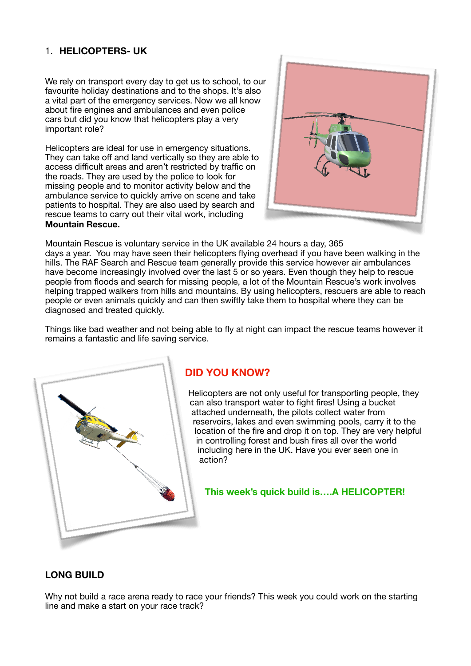## 1. **HELICOPTERS- UK**

We rely on transport every day to get us to school, to our favourite holiday destinations and to the shops. It's also a vital part of the emergency services. Now we all know about fire engines and ambulances and even police cars but did you know that helicopters play a very important role?

Helicopters are ideal for use in emergency situations. They can take off and land vertically so they are able to access difficult areas and aren't restricted by traffic on the roads. They are used by the police to look for missing people and to monitor activity below and the ambulance service to quickly arrive on scene and take patients to hospital. They are also used by search and rescue teams to carry out their vital work, including **Mountain Rescue.** 



Mountain Rescue is voluntary service in the UK available 24 hours a day, 365 days a year. You may have seen their helicopters flying overhead if you have been walking in the hills. The RAF Search and Rescue team generally provide this service however air ambulances have become increasingly involved over the last 5 or so years. Even though they help to rescue people from floods and search for missing people, a lot of the Mountain Rescue's work involves helping trapped walkers from hills and mountains. By using helicopters, rescuers are able to reach people or even animals quickly and can then swiftly take them to hospital where they can be diagnosed and treated quickly.

Things like bad weather and not being able to fly at night can impact the rescue teams however it remains a fantastic and life saving service.



# **DID YOU KNOW?**

Helicopters are not only useful for transporting people, they can also transport water to fight fires! Using a bucket attached underneath, the pilots collect water from reservoirs, lakes and even swimming pools, carry it to the location of the fire and drop it on top. They are very helpful in controlling forest and bush fires all over the world including here in the UK. Have you ever seen one in action?

**This week's quick build is….A HELICOPTER!** 

### **LONG BUILD**

Why not build a race arena ready to race your friends? This week you could work on the starting line and make a start on your race track?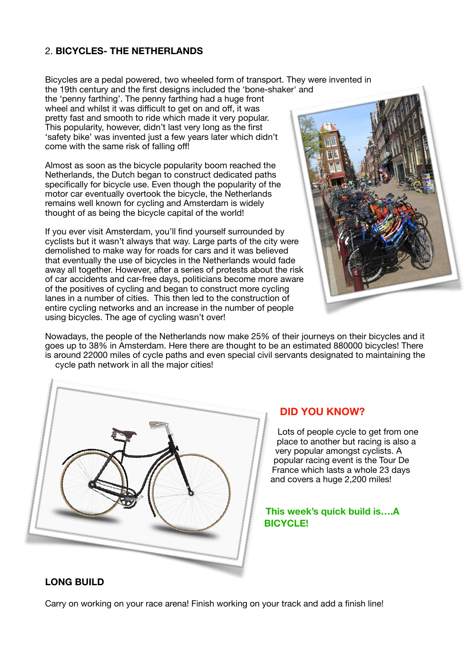### 2. **BICYCLES- THE NETHERLANDS**

Bicycles are a pedal powered, two wheeled form of transport. They were invented in the 19th century and the first designs included the 'bone-shaker' and

the 'penny farthing'. The penny farthing had a huge front wheel and whilst it was difficult to get on and off, it was pretty fast and smooth to ride which made it very popular. This popularity, however, didn't last very long as the first 'safety bike' was invented just a few years later which didn't come with the same risk of falling off!

Almost as soon as the bicycle popularity boom reached the Netherlands, the Dutch began to construct dedicated paths specifically for bicycle use. Even though the popularity of the motor car eventually overtook the bicycle, the Netherlands remains well known for cycling and Amsterdam is widely thought of as being the bicycle capital of the world!

If you ever visit Amsterdam, you'll find yourself surrounded by cyclists but it wasn't always that way. Large parts of the city were demolished to make way for roads for cars and it was believed that eventually the use of bicycles in the Netherlands would fade away all together. However, after a series of protests about the risk of car accidents and car-free days, politicians become more aware of the positives of cycling and began to construct more cycling lanes in a number of cities. This then led to the construction of entire cycling networks and an increase in the number of people using bicycles. The age of cycling wasn't over!



Nowadays, the people of the Netherlands now make 25% of their journeys on their bicycles and it goes up to 38% in Amsterdam. Here there are thought to be an estimated 880000 bicycles! There is around 22000 miles of cycle paths and even special civil servants designated to maintaining the cycle path network in all the major cities!



### **DID YOU KNOW?**

Lots of people cycle to get from one place to another but racing is also a very popular amongst cyclists. A popular racing event is the Tour De France which lasts a whole 23 days and covers a huge 2,200 miles!

### **This week's quick build is….A BICYCLE!**

### **LONG BUILD**

Carry on working on your race arena! Finish working on your track and add a finish line!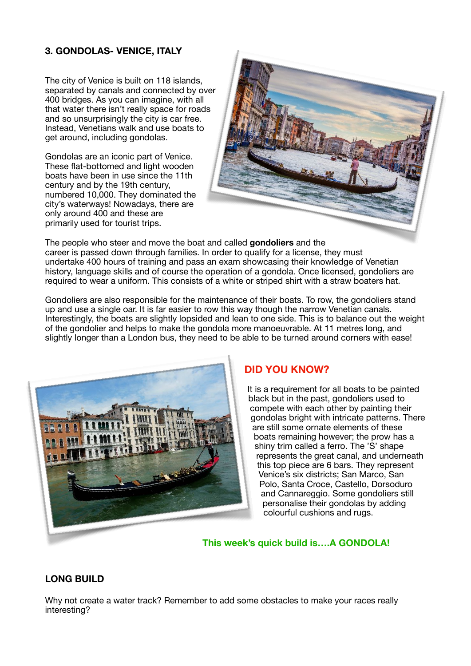## **3. GONDOLAS- VENICE, ITALY**

The city of Venice is built on 118 islands, separated by canals and connected by over 400 bridges. As you can imagine, with all that water there isn't really space for roads and so unsurprisingly the city is car free. Instead, Venetians walk and use boats to get around, including gondolas.

Gondolas are an iconic part of Venice. These flat-bottomed and light wooden boats have been in use since the 11th century and by the 19th century, numbered 10,000. They dominated the city's waterways! Nowadays, there are only around 400 and these are primarily used for tourist trips.



The people who steer and move the boat and called **gondoliers** and the career is passed down through families. In order to qualify for a license, they must undertake 400 hours of training and pass an exam showcasing their knowledge of Venetian history, language skills and of course the operation of a gondola. Once licensed, gondoliers are required to wear a uniform. This consists of a white or striped shirt with a straw boaters hat.

Gondoliers are also responsible for the maintenance of their boats. To row, the gondoliers stand up and use a single oar. It is far easier to row this way though the narrow Venetian canals. Interestingly, the boats are slightly lopsided and lean to one side. This is to balance out the weight of the gondolier and helps to make the gondola more manoeuvrable. At 11 metres long, and slightly longer than a London bus, they need to be able to be turned around corners with ease!



### **DID YOU KNOW?**

It is a requirement for all boats to be painted black but in the past, gondoliers used to compete with each other by painting their gondolas bright with intricate patterns. There are still some ornate elements of these boats remaining however; the prow has a shiny trim called a ferro. The 'S' shape represents the great canal, and underneath this top piece are 6 bars. They represent Venice's six districts; San Marco, San Polo, Santa Croce, Castello, Dorsoduro and Cannareggio. Some gondoliers still personalise their gondolas by adding colourful cushions and rugs.

**This week's quick build is….A GONDOLA!** 

### **LONG BUILD**

Why not create a water track? Remember to add some obstacles to make your races really interesting?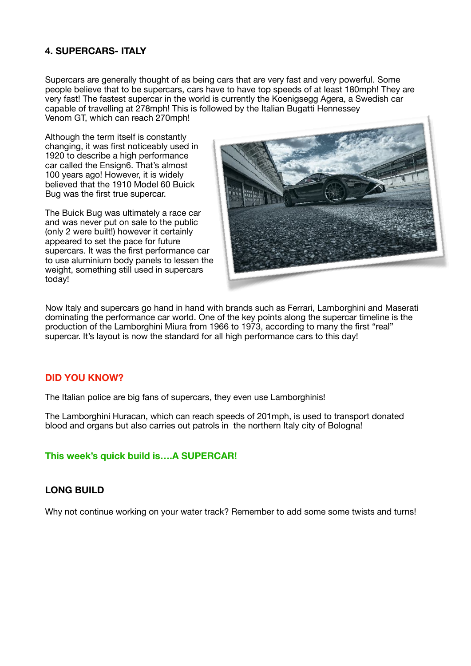### **4. SUPERCARS- ITALY**

Supercars are generally thought of as being cars that are very fast and very powerful. Some people believe that to be supercars, cars have to have top speeds of at least 180mph! They are very fast! The fastest supercar in the world is currently the Koenigsegg Agera, a Swedish car capable of travelling at 278mph! This is followed by the Italian Bugatti Hennessey Venom GT, which can reach 270mph!

Although the term itself is constantly changing, it was first noticeably used in 1920 to describe a high performance car called the Ensign6. That's almost 100 years ago! However, it is widely believed that the 1910 Model 60 Buick Bug was the first true supercar.

The Buick Bug was ultimately a race car and was never put on sale to the public (only 2 were built!) however it certainly appeared to set the pace for future supercars. It was the first performance car to use aluminium body panels to lessen the weight, something still used in supercars today!



Now Italy and supercars go hand in hand with brands such as Ferrari, Lamborghini and Maserati dominating the performance car world. One of the key points along the supercar timeline is the production of the Lamborghini Miura from 1966 to 1973, according to many the first "real" supercar. It's layout is now the standard for all high performance cars to this day!

#### **DID YOU KNOW?**

The Italian police are big fans of supercars, they even use Lamborghinis!

The Lamborghini Huracan, which can reach speeds of 201mph, is used to transport donated blood and organs but also carries out patrols in the northern Italy city of Bologna!

**This week's quick build is….A SUPERCAR!** 

### **LONG BUILD**

Why not continue working on your water track? Remember to add some some twists and turns!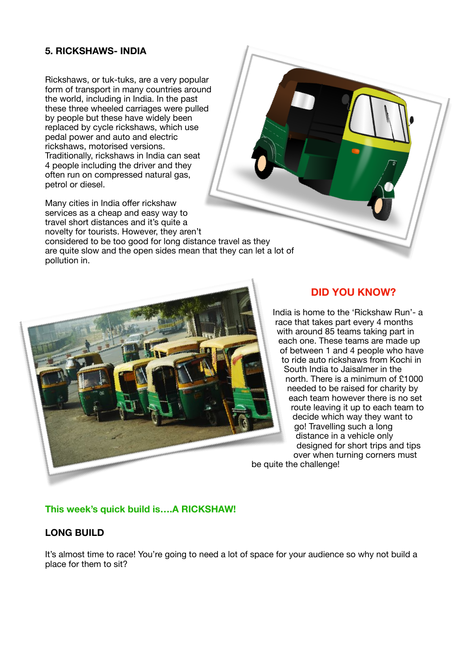### **5. RICKSHAWS- INDIA**

Rickshaws, or tuk-tuks, are a very popular form of transport in many countries around the world, including in India. In the past these three wheeled carriages were pulled by people but these have widely been replaced by cycle rickshaws, which use pedal power and auto and electric rickshaws, motorised versions. Traditionally, rickshaws in India can seat 4 people including the driver and they often run on compressed natural gas, petrol or diesel.

Many cities in India offer rickshaw services as a cheap and easy way to travel short distances and it's quite a novelty for tourists. However, they aren't considered to be too good for long distance travel as they are quite slow and the open sides mean that they can let a lot of pollution in.



### **DID YOU KNOW?**

India is home to the 'Rickshaw Run'- a race that takes part every 4 months with around 85 teams taking part in each one. These teams are made up of between 1 and 4 people who have to ride auto rickshaws from Kochi in South India to Jaisalmer in the north. There is a minimum of £1000 needed to be raised for charity by each team however there is no set route leaving it up to each team to decide which way they want to go! Travelling such a long distance in a vehicle only designed for short trips and tips over when turning corners must be quite the challenge!

### **This week's quick build is….A RICKSHAW!**

### **LONG BUILD**

It's almost time to race! You're going to need a lot of space for your audience so why not build a place for them to sit?